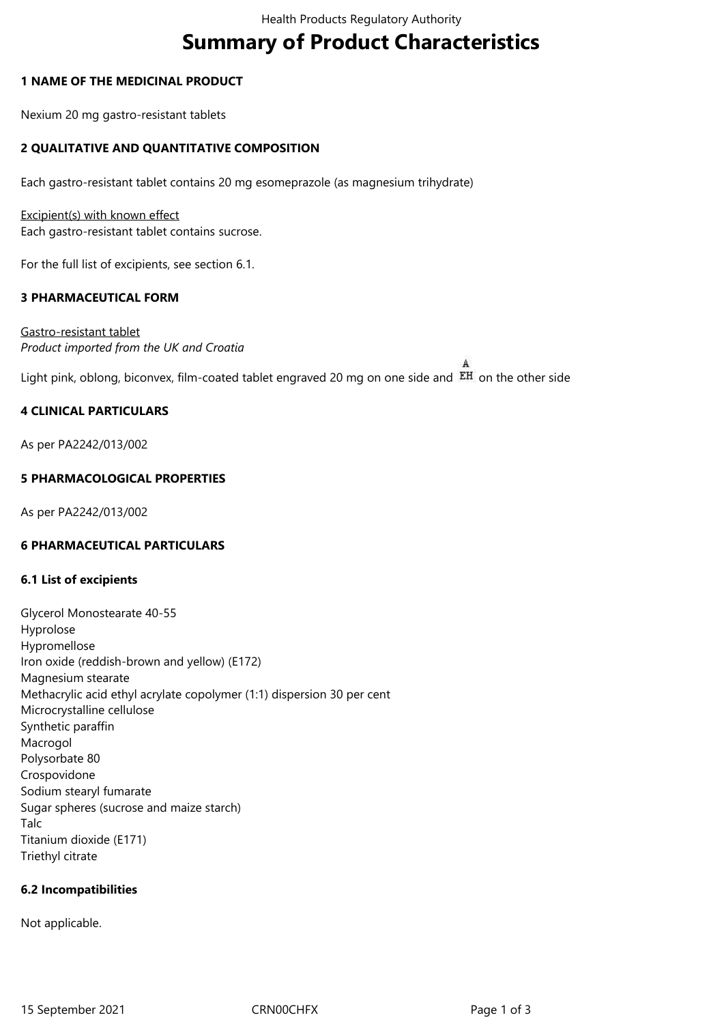# **Summary of Product Characteristics**

#### **1 NAME OF THE MEDICINAL PRODUCT**

Nexium 20 mg gastro-resistant tablets

# **2 QUALITATIVE AND QUANTITATIVE COMPOSITION**

Each gastro-resistant tablet contains 20 mg esomeprazole (as magnesium trihydrate)

Excipient(s) with known effect Each gastro-resistant tablet contains sucrose.

For the full list of excipients, see section 6.1.

#### **3 PHARMACEUTICAL FORM**

Gastro-resistant tablet *Product imported from the UK and Croatia*

Light pink, oblong, biconvex, film-coated tablet engraved 20 mg on one side and EH on the other side

# **4 CLINICAL PARTICULARS**

As per PA2242/013/002

# **5 PHARMACOLOGICAL PROPERTIES**

As per PA2242/013/002

#### **6 PHARMACEUTICAL PARTICULARS**

#### **6.1 List of excipients**

Glycerol Monostearate 40-55 Hyprolose Hypromellose Iron oxide (reddish-brown and yellow) (E172) Magnesium stearate Methacrylic acid ethyl acrylate copolymer (1:1) dispersion 30 per cent Microcrystalline cellulose Synthetic paraffin Macrogol Polysorbate 80 Crospovidone Sodium stearyl fumarate Sugar spheres (sucrose and maize starch) Talc Titanium dioxide (E171) Triethyl citrate

#### **6.2 Incompatibilities**

Not applicable.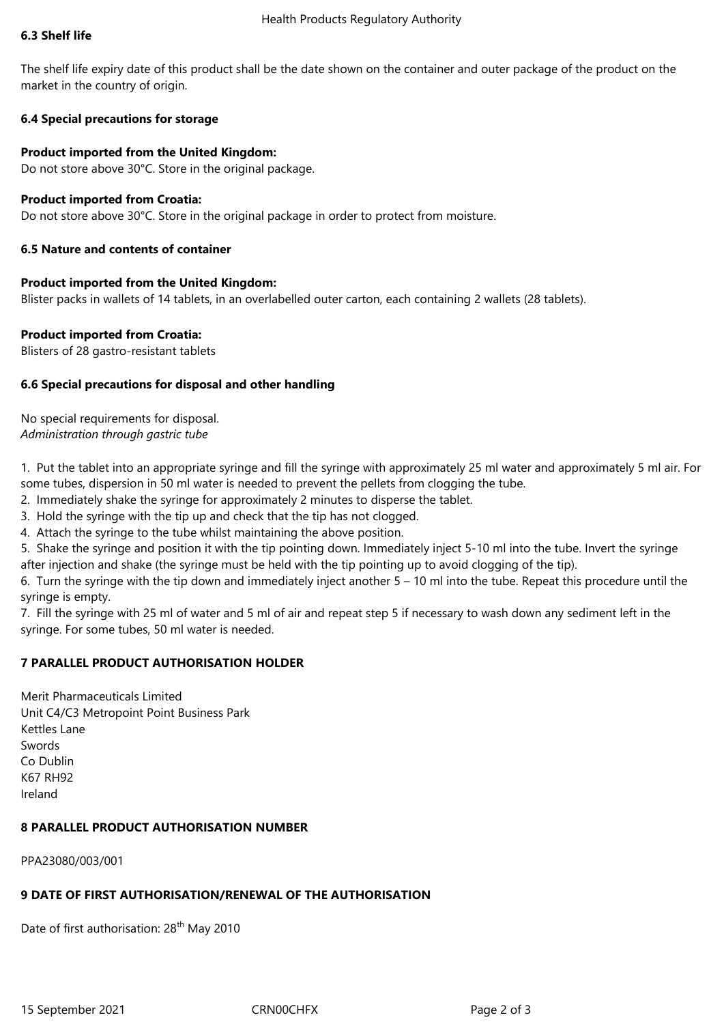#### **6.3 Shelf life**

The shelf life expiry date of this product shall be the date shown on the container and outer package of the product on the market in the country of origin.

# **6.4 Special precautions for storage**

#### **Product imported from the United Kingdom:**

Do not store above 30°C. Store in the original package.

# **Product imported from Croatia:**

Do not store above 30°C. Store in the original package in order to protect from moisture.

# **6.5 Nature and contents of container**

# **Product imported from the United Kingdom:**

Blister packs in wallets of 14 tablets, in an overlabelled outer carton, each containing 2 wallets (28 tablets).

# **Product imported from Croatia:**

Blisters of 28 gastro-resistant tablets

# **6.6 Special precautions for disposal and other handling**

No special requirements for disposal. *Administration through gastric tube*

1. Put the tablet into an appropriate syringe and fill the syringe with approximately 25 ml water and approximately 5 ml air. For some tubes, dispersion in 50 ml water is needed to prevent the pellets from clogging the tube.

2. Immediately shake the syringe for approximately 2 minutes to disperse the tablet.

3. Hold the syringe with the tip up and check that the tip has not clogged.

4. Attach the syringe to the tube whilst maintaining the above position.

5. Shake the syringe and position it with the tip pointing down. Immediately inject 5-10 ml into the tube. Invert the syringe after injection and shake (the syringe must be held with the tip pointing up to avoid clogging of the tip).

6. Turn the syringe with the tip down and immediately inject another 5 – 10 ml into the tube. Repeat this procedure until the syringe is empty.

7. Fill the syringe with 25 ml of water and 5 ml of air and repeat step 5 if necessary to wash down any sediment left in the syringe. For some tubes, 50 ml water is needed.

# **7 PARALLEL PRODUCT AUTHORISATION HOLDER**

Merit Pharmaceuticals Limited Unit C4/C3 Metropoint Point Business Park Kettles Lane Swords Co Dublin K67 RH92 Ireland

# **8 PARALLEL PRODUCT AUTHORISATION NUMBER**

PPA23080/003/001

# **9 DATE OF FIRST AUTHORISATION/RENEWAL OF THE AUTHORISATION**

Date of first authorisation: 28<sup>th</sup> May 2010